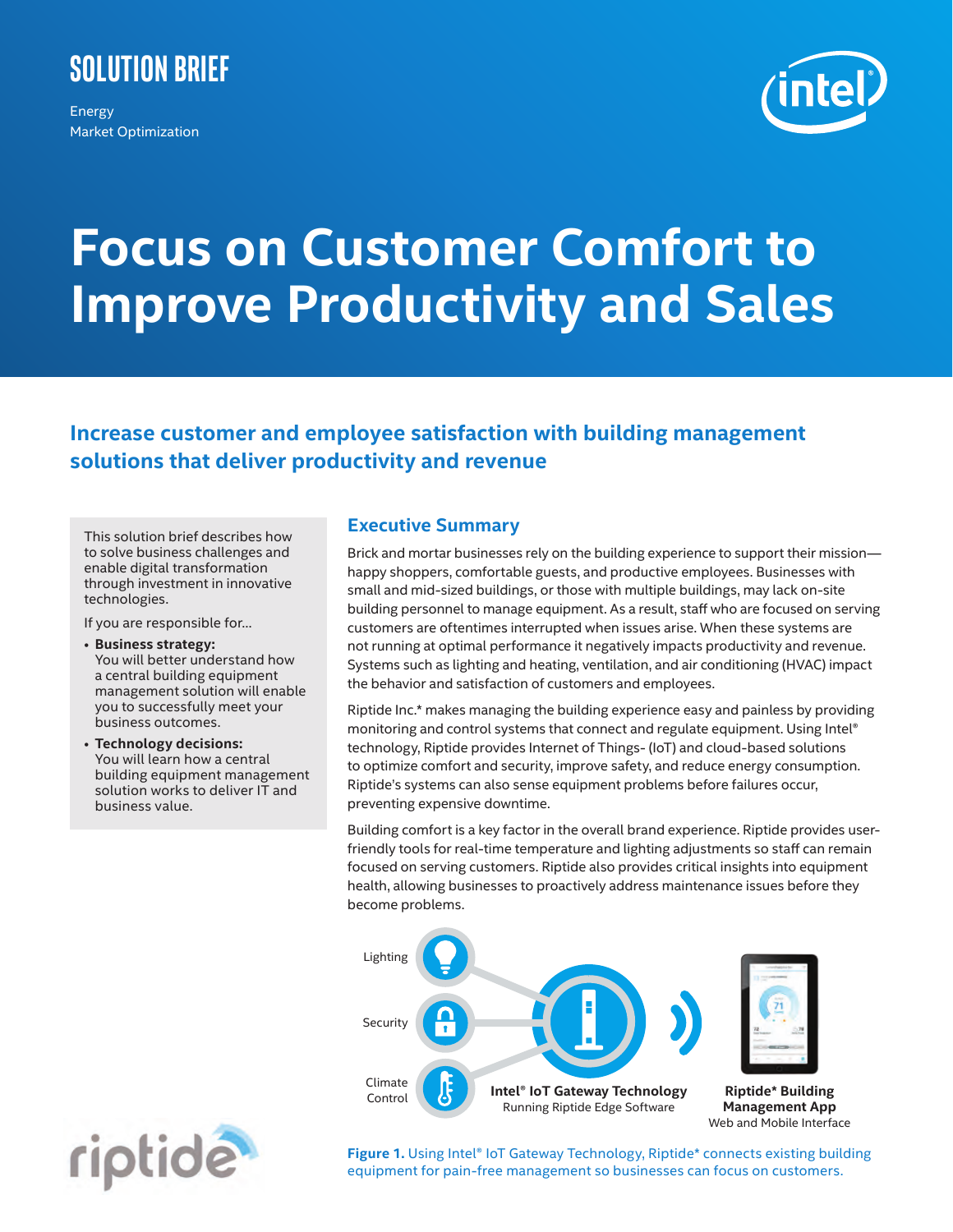# **Solution Brief**

Energy Market Optimization



# **Focus on Customer Comfort to Improve Productivity and Sales**

# **Increase customer and employee satisfaction with building management solutions that deliver productivity and revenue**

This solution brief describes how to solve business challenges and enable digital transformation through investment in innovative technologies.

If you are responsible for…

- **Business strategy:**  You will better understand how a central building equipment management solution will enable you to successfully meet your business outcomes.
- **Technology decisions:**  You will learn how a central building equipment management solution works to deliver IT and business value.

# **Executive Summary**

Brick and mortar businesses rely on the building experience to support their mission happy shoppers, comfortable guests, and productive employees. Businesses with small and mid-sized buildings, or those with multiple buildings, may lack on-site building personnel to manage equipment. As a result, staff who are focused on serving customers are oftentimes interrupted when issues arise. When these systems are not running at optimal performance it negatively impacts productivity and revenue. Systems such as lighting and heating, ventilation, and air conditioning (HVAC) impact the behavior and satisfaction of customers and employees.

Riptide Inc.\* makes managing the building experience easy and painless by providing monitoring and control systems that connect and regulate equipment. Using Intel® technology, Riptide provides Internet of Things- (IoT) and cloud-based solutions to optimize comfort and security, improve safety, and reduce energy consumption. Riptide's systems can also sense equipment problems before failures occur, preventing expensive downtime.

Building comfort is a key factor in the overall brand experience. Riptide provides userfriendly tools for real-time temperature and lighting adjustments so staff can remain focused on serving customers. Riptide also provides critical insights into equipment health, allowing businesses to proactively address maintenance issues before they become problems.



riptide

Figure 1. Using Intel<sup>®</sup> IoT Gateway Technology, Riptide\* connects existing building equipment for pain-free management so businesses can focus on customers.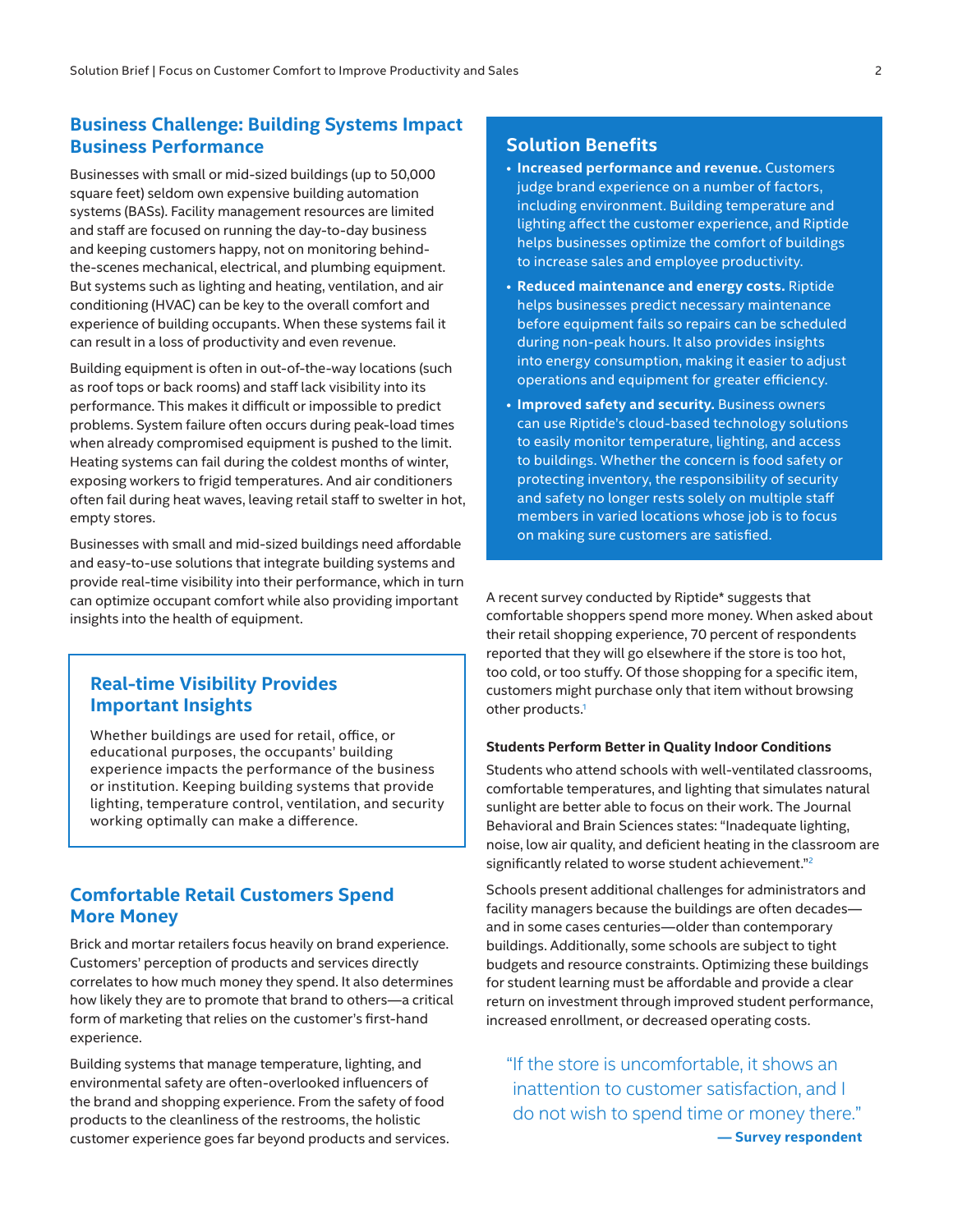# **Business Challenge: Building Systems Impact Business Performance**

Businesses with small or mid-sized buildings (up to 50,000 square feet) seldom own expensive building automation systems (BASs). Facility management resources are limited and staff are focused on running the day-to-day business and keeping customers happy, not on monitoring behindthe-scenes mechanical, electrical, and plumbing equipment. But systems such as lighting and heating, ventilation, and air conditioning (HVAC) can be key to the overall comfort and experience of building occupants. When these systems fail it can result in a loss of productivity and even revenue.

Building equipment is often in out-of-the-way locations (such as roof tops or back rooms) and staff lack visibility into its performance. This makes it difficult or impossible to predict problems. System failure often occurs during peak-load times when already compromised equipment is pushed to the limit. Heating systems can fail during the coldest months of winter, exposing workers to frigid temperatures. And air conditioners often fail during heat waves, leaving retail staff to swelter in hot, empty stores.

Businesses with small and mid-sized buildings need affordable and easy-to-use solutions that integrate building systems and provide real-time visibility into their performance, which in turn can optimize occupant comfort while also providing important insights into the health of equipment.

# **Real-time Visibility Provides Important Insights**

Whether buildings are used for retail, office, or educational purposes, the occupants' building experience impacts the performance of the business or institution. Keeping building systems that provide lighting, temperature control, ventilation, and security working optimally can make a difference.

# **Comfortable Retail Customers Spend More Money**

Brick and mortar retailers focus heavily on brand experience. Customers' perception of products and services directly correlates to how much money they spend. It also determines how likely they are to promote that brand to others—a critical form of marketing that relies on the customer's first-hand experience.

Building systems that manage temperature, lighting, and environmental safety are often-overlooked influencers of the brand and shopping experience. From the safety of food products to the cleanliness of the restrooms, the holistic customer experience goes far beyond products and services.

# **Solution Benefits**

- **Increased performance and revenue.** Customers judge brand experience on a number of factors, including environment. Building temperature and lighting affect the customer experience, and Riptide helps businesses optimize the comfort of buildings to increase sales and employee productivity.
- **Reduced maintenance and energy costs.** Riptide helps businesses predict necessary maintenance before equipment fails so repairs can be scheduled during non-peak hours. It also provides insights into energy consumption, making it easier to adjust operations and equipment for greater efficiency.
- **Improved safety and security.** Business owners can use Riptide's cloud-based technology solutions to easily monitor temperature, lighting, and access to buildings. Whether the concern is food safety or protecting inventory, the responsibility of security and safety no longer rests solely on multiple staff members in varied locations whose job is to focus on making sure customers are satisfied.

A recent survey conducted by Riptide\* suggests that comfortable shoppers spend more money. When asked about their retail shopping experience, 70 percent of respondents reported that they will go elsewhere if the store is too hot, too cold, or too stuffy. Of those shopping for a specific item, customers might purchase only that item without browsing other products[.1](#page-3-0)

#### **Students Perform Better in Quality Indoor Conditions**

Students who attend schools with well-ventilated classrooms, comfortable temperatures, and lighting that simulates natural sunlight are better able to focus on their work. The Journal Behavioral and Brain Sciences states: "Inadequate lighting, noise, low air quality, and deficient heating in the classroom are significantly related to worse student achievement."<sup>[2](#page-3-1)</sup>

Schools present additional challenges for administrators and facility managers because the buildings are often decades and in some cases centuries—older than contemporary buildings. Additionally, some schools are subject to tight budgets and resource constraints. Optimizing these buildings for student learning must be affordable and provide a clear return on investment through improved student performance, increased enrollment, or decreased operating costs.

"If the store is uncomfortable, it shows an inattention to customer satisfaction, and I do not wish to spend time or money there." **— Survey respondent**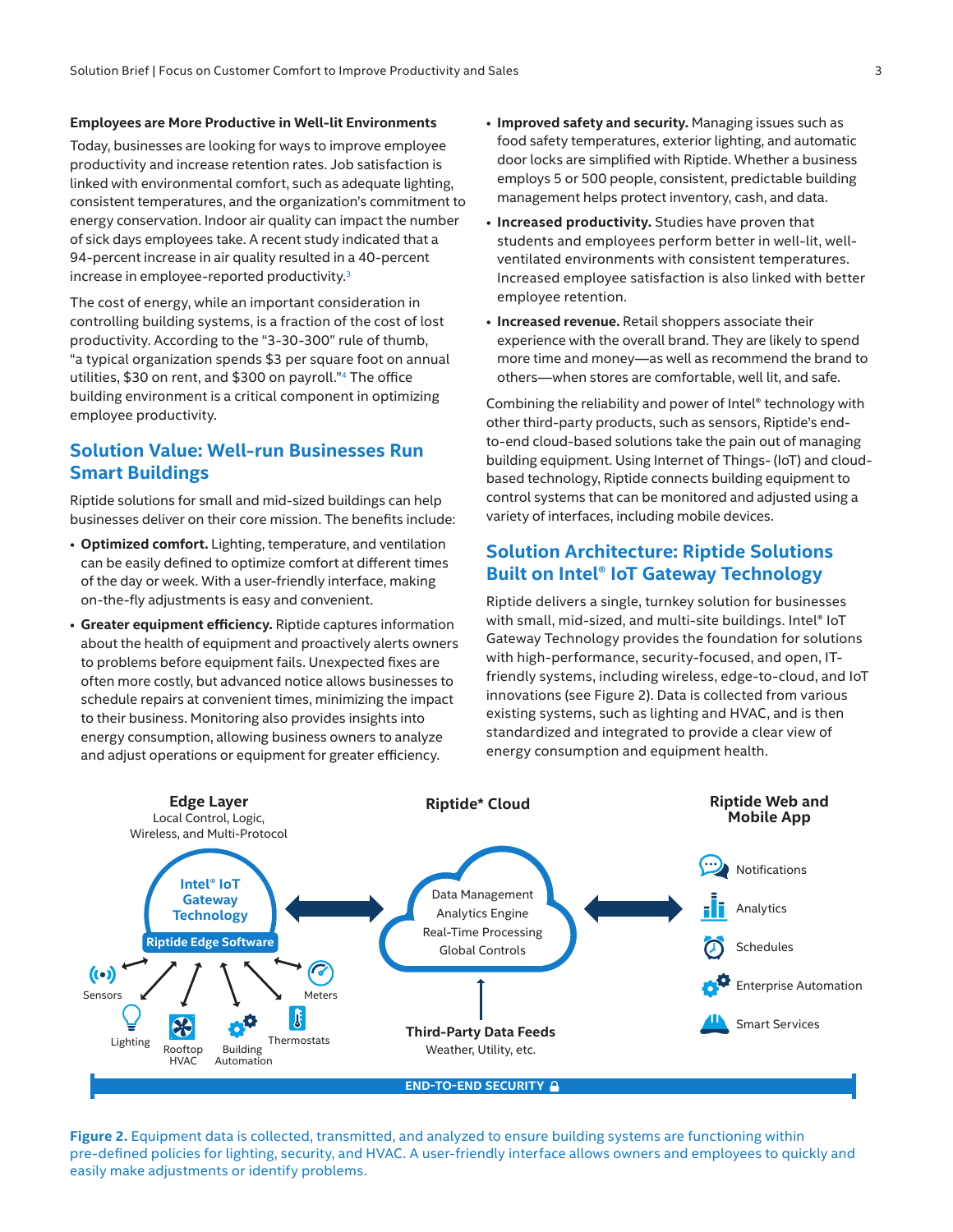#### **Employees are More Productive in Well-lit Environments**

Today, businesses are looking for ways to improve employee productivity and increase retention rates. Job satisfaction is linked with environmental comfort, such as adequate lighting, consistent temperatures, and the organization's commitment to energy conservation. Indoor air quality can impact the number of sick days employees take. A recent study indicated that a 94-percent increase in air quality resulted in a 40-percent increase in employee-reported productivity.<sup>[3](#page-3-2)</sup>

The cost of energy, while an important consideration in controlling building systems, is a fraction of the cost of lost productivity. According to the "3-30-300" rule of thumb, "a typical organization spends \$3 per square foot on annual utilities, \$30 on rent, and \$300 on payroll."[4](#page-3-3) The office building environment is a critical component in optimizing employee productivity.

# **Solution Value: Well-run Businesses Run Smart Buildings**

Riptide solutions for small and mid-sized buildings can help businesses deliver on their core mission. The benefits include:

- **Optimized comfort.** Lighting, temperature, and ventilation can be easily defined to optimize comfort at different times of the day or week. With a user-friendly interface, making on-the-fly adjustments is easy and convenient.
- **Greater equipment efficiency.** Riptide captures information about the health of equipment and proactively alerts owners to problems before equipment fails. Unexpected fixes are often more costly, but advanced notice allows businesses to schedule repairs at convenient times, minimizing the impact to their business. Monitoring also provides insights into energy consumption, allowing business owners to analyze and adjust operations or equipment for greater efficiency.
- **Improved safety and security.** Managing issues such as food safety temperatures, exterior lighting, and automatic door locks are simplified with Riptide. Whether a business employs 5 or 500 people, consistent, predictable building management helps protect inventory, cash, and data.
- **Increased productivity.** Studies have proven that students and employees perform better in well-lit, wellventilated environments with consistent temperatures. Increased employee satisfaction is also linked with better employee retention.
- **Increased revenue.** Retail shoppers associate their experience with the overall brand. They are likely to spend more time and money—as well as recommend the brand to others—when stores are comfortable, well lit, and safe.

Combining the reliability and power of Intel® technology with other third-party products, such as sensors, Riptide's endto-end cloud-based solutions take the pain out of managing building equipment. Using Internet of Things- (IoT) and cloudbased technology, Riptide connects building equipment to control systems that can be monitored and adjusted using a variety of interfaces, including mobile devices.

# **Solution Architecture: Riptide Solutions Built on Intel® IoT Gateway Technology**

Riptide delivers a single, turnkey solution for businesses with small, mid-sized, and multi-site buildings. Intel<sup>®</sup> IoT Gateway Technology provides the foundation for solutions with high-performance, security-focused, and open, ITfriendly systems, including wireless, edge-to-cloud, and IoT innovations (see Figure 2). Data is collected from various existing systems, such as lighting and HVAC, and is then standardized and integrated to provide a clear view of energy consumption and equipment health.



**Figure 2.** Equipment data is collected, transmitted, and analyzed to ensure building systems are functioning within pre-defined policies for lighting, security, and HVAC. A user-friendly interface allows owners and employees to quickly and easily make adjustments or identify problems.